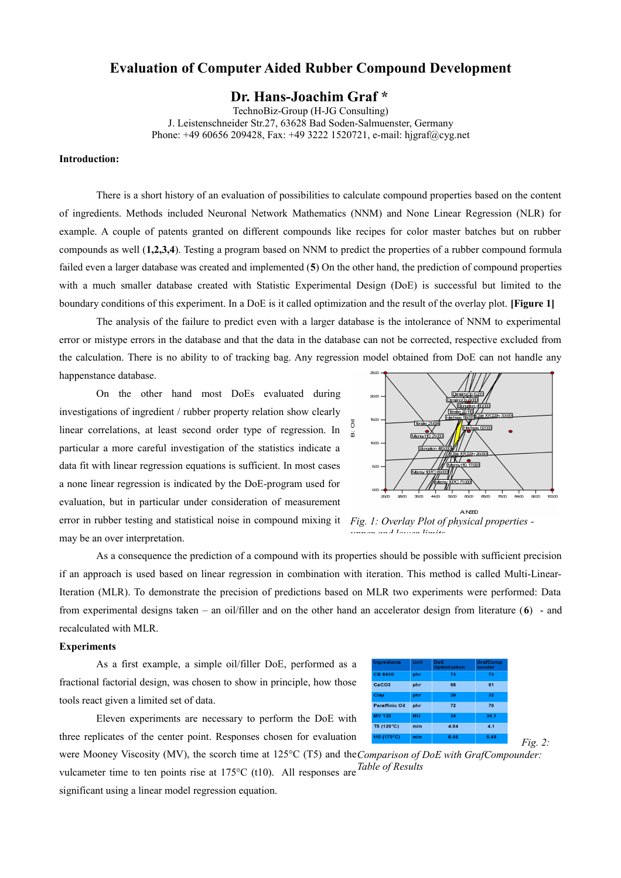# **Evaluation of Computer Aided Rubber Compound Development**

## **Dr. Hans-Joachim Graf \***

TechnoBiz-Group (H-JG Consulting) J. Leistenschneider Str.27, 63628 Bad Soden-Salmuenster, Germany Phone: +49 60656 209428, Fax: +49 3222 1520721, e-mail: hjgraf@cyg.net

## **Introduction:**

There is a short history of an evaluation of possibilities to calculate compound properties based on the content of ingredients. Methods included Neuronal Network Mathematics (NNM) and None Linear Regression (NLR) for example. A couple of patents granted on different compounds like recipes for color master batches but on rubber compounds as well (**1,2,3,4**). Testing a program based on NNM to predict the properties of a rubber compound formula failed even a larger database was created and implemented (**5**) On the other hand, the prediction of compound properties with a much smaller database created with Statistic Experimental Design (DoE) is successful but limited to the boundary conditions of this experiment. In a DoE is it called optimization and the result of the overlay plot. **[Figure 1]** 

The analysis of the failure to predict even with a larger database is the intolerance of NNM to experimental error or mistype errors in the database and that the data in the database can not be corrected, respective excluded from the calculation. There is no ability to of tracking bag. Any regression model obtained from DoE can not handle any happenstance database.

On the other hand most DoEs evaluated during investigations of ingredient / rubber property relation show clearly linear correlations, at least second order type of regression. In particular a more careful investigation of the statistics indicate a data fit with linear regression equations is sufficient. In most cases a none linear regression is indicated by the DoE-program used for evaluation, but in particular under consideration of measurement error in rubber testing and statistical noise in compound mixing it *Fig. 1: Overlay Plot of physical properties*  may be an over interpretation.



*upper and lower limits*

As a consequence the prediction of a compound with its properties should be possible with sufficient precision if an approach is used based on linear regression in combination with iteration. This method is called Multi-Linear-Iteration (MLR). To demonstrate the precision of predictions based on MLR two experiments were performed: Data from experimental designs taken – an oil/filler and on the other hand an accelerator design from literature (**6**) - and recalculated with MLR.

## **Experiments**

As a first example, a simple oil/filler DoE, performed as a fractional factorial design, was chosen to show in principle, how those tools react given a limited set of data.

| Ingredients           | Unit | DoF<br>Optimization | GrafComp<br>ounder |
|-----------------------|------|---------------------|--------------------|
| <b>CB 6630</b>        | phr  | 73                  | 73                 |
| CaCO <sub>3</sub>     | phr  | 68                  | 61                 |
| Clay                  | phr  | 39                  | 32                 |
| <b>Paraffinic Oil</b> | phr  | 72                  | 70                 |
| <b>MV 120</b>         | MU   | 34                  | 34.1               |
| T5 (120°C)            | min  | 4.04                | 4.1                |
| t10 (170°C)           | min  | 0.45                | 0.45               |

*Fig. 2:* 

Eleven experiments are necessary to perform the DoE with three replicates of the center point. Responses chosen for evaluation

were Mooney Viscosity (MV), the scorch time at 125°C (T5) and the *Comparison of DoE with GrafCompounder:*  vulcameter time to ten points rise at 175°C (t10). All responses are *Table of Results*

significant using a linear model regression equation.